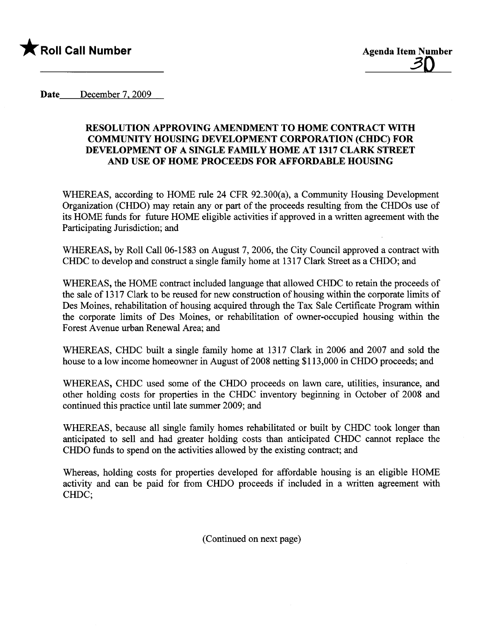

Date December 7, 2009

### RESOLUTION APPROVING AMENDMENT TO HOME CONTRACT WITH COMMUNITY HOUSING DEVELOPMENT CORPORATION (CHDC) FOR DEVELOPMENT OF A SINGLE FAMILY HOME AT 1317 CLARK STREET AND USE OF HOME PROCEEDS FOR AFFORDABLE HOUSING

WHEREAS, according to HOME rule 24 CFR 92.300(a), a Community Housing Development Organization (CHDO) may retain any or part of the proceeds resulting from the CHDOs use of its HOME fuds for future HOME eligible activities if approved in a wrtten agreement with the Participating Jurisdiction; and

WHEREAS, by Roll Call 06-1583 on August 7, 2006, the City Council approved a contract with CHDC to develop and construct a single family home at 1317 Clark Street as a CHDO; and

WHEREAS, the HOME contract included language that allowed CHDC to retain the proceeds of the sale of 1317 Clark to be reused for new construction of housing within the corporate limits of Des Moines, rehabilitation of housing acquired through the Tax Sale Certificate Program within the corporate limits of Des Moines, or rehabiltation of owner-occupied housing within the Forest Avenue urban Renewal Area; and

WHEREAS, CHDC built a single family home at 1317 Clark in 2006 and 2007 and sold the house to a low income homeowner in August of 2008 netting \$113,000 in CHDO proceeds; and

WHEREAS, CHDC used some of the CHDO proceeds on lawn care, utilities, insurance, and other holding costs for properties in the CHDC inventory beginning in October of 2008 and continued this practice until late summer 2009; and

WHEREAS, because all single family homes rehabiltated or built by CHDC took longer than anticipated to sell and had greater holding costs than anticipated CHDC canot replace the CHDO fuds to spend on the activities allowed by the existing contract; and

Whereas, holding costs for properties developed for affordable housing is an eligible HOME activity and can be paid for from CHDO proceeds if included in a written agreement with CHDC;

(Continued on next page)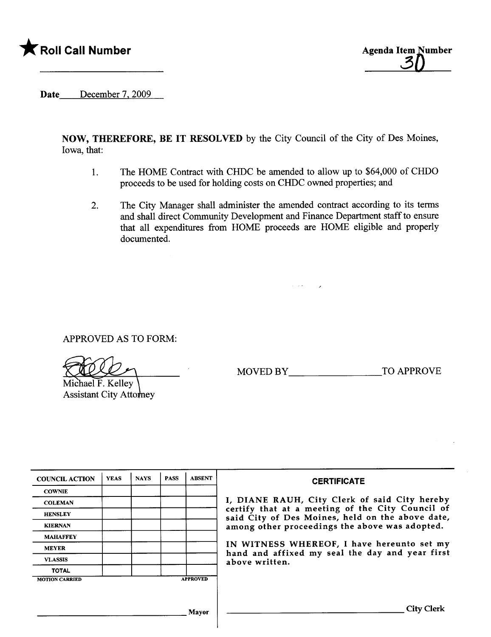



Date December 7, 2009

NOW, THEREFORE, BE IT RESOLVED by the City Council of the City of Des Moines, Iowa, that:

- 1. The HOME Contract with CHDC be amended to allow up to \$64,000 of CHDO proceeds to be used for holding costs on CHDC owned properties; and
- 2. The City Manager shall administer the amended contract according to its terms and shall direct Community Development and Finance Department staff to ensure that all expenditues from HOME proceeds are HOME eligible and properly documented.

 $\mathcal{L}^{\mathcal{L}}(\mathcal{L}(\mathbf{z}))$  .

 $\overline{ }$ 

APPROVED AS TO FORM:

Michael F. Kelley Assistant City Atto MOVED BY TO APPROVE

| <b>COUNCIL ACTION</b> | <b>YEAS</b> | <b>NAYS</b> | <b>PASS</b> | <b>ABSENT</b>   | <b>CERTIFICATE</b>                                                                                                                                                                                                                                                                                                         |
|-----------------------|-------------|-------------|-------------|-----------------|----------------------------------------------------------------------------------------------------------------------------------------------------------------------------------------------------------------------------------------------------------------------------------------------------------------------------|
| <b>COWNIE</b>         |             |             |             |                 | I, DIANE RAUH, City Clerk of said City hereby<br>certify that at a meeting of the City Council of<br>said City of Des Moines, held on the above date,<br>among other proceedings the above was adopted.<br>IN WITNESS WHEREOF, I have hereunto set my<br>hand and affixed my seal the day and year first<br>above written. |
| <b>COLEMAN</b>        |             |             |             |                 |                                                                                                                                                                                                                                                                                                                            |
| <b>HENSLEY</b>        |             |             |             |                 |                                                                                                                                                                                                                                                                                                                            |
| <b>KIERNAN</b>        |             |             |             |                 |                                                                                                                                                                                                                                                                                                                            |
| <b>MAHAFFEY</b>       |             |             |             |                 |                                                                                                                                                                                                                                                                                                                            |
| <b>MEYER</b>          |             |             |             |                 |                                                                                                                                                                                                                                                                                                                            |
| <b>VLASSIS</b>        |             |             |             |                 |                                                                                                                                                                                                                                                                                                                            |
| <b>TOTAL</b>          |             |             |             |                 |                                                                                                                                                                                                                                                                                                                            |
| <b>MOTION CARRIED</b> |             |             |             | <b>APPROVED</b> |                                                                                                                                                                                                                                                                                                                            |
|                       |             |             |             |                 |                                                                                                                                                                                                                                                                                                                            |
|                       |             |             |             | Mayor           | <b>City Clerk</b>                                                                                                                                                                                                                                                                                                          |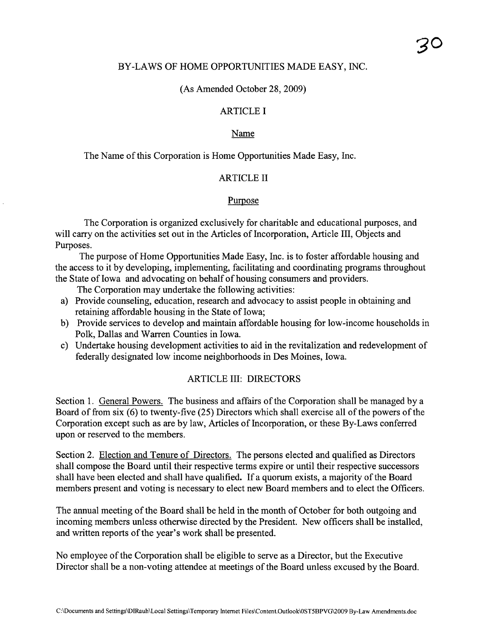#### BY-LAWS OF HOME OPPORTUNITIES MADE EASY, INC.

(As Amended October 28, 2009)

### ARTICLE I

#### Name

The Name of this Corporation is Home Opportunities Made Easy, Inc.

### ARTICLE II

#### Purpose

The Corporation is organized exclusively for charitable and educational purposes, and will carry on the activities set out in the Articles of Incorporation, Article III, Objects and Purposes.

The purpose of Home Opportunities Made Easy, Inc. is to foster affordable housing and the access to it by developing, implementing, facilitating and coordinating programs throughout the State of Iowa and advocating on behalf of housing consumers and providers.

The Corporation may undertake the following activities:

- a) Provide counseling, education, research and advocacy to assist people in obtaining and retaining affordable housing in the State of Iowa;
- b) Provide services to develop and maintain affordable housing for low-income households in Polk, Dallas and Waren Counties in Iowa.
- c) Undertake housing development activities to aid in the revitalization and redevelopment of federally designated low income neighborhoods in Des Moines, Iowa.

#### ARTICLE III: DIRECTORS

Section 1. General Powers. The business and affairs of the Corporation shall be managed by a Board of from six (6) to twenty-five (25) Directors which shall exercise all of the powers of the Corporation except such as are by law, Aricles of Incorporation, or these By-Laws conferred upon or reserved to the members.

Section 2. Election and Tenure of Directors. The persons elected and qualified as Directors shall compose the Board until their respective terms expire or until their respective successors shall have been elected and shall have qualified. If a quorum exists, a majority of the Board members present and voting is necessary to elect new Board members and to elect the Officers.

The anual meeting of the Board shall be held in the month of October for both outgoing and incoming members unless otherwise directed by the President. New officers shall be installed, and written reports of the year's work shall be presented.

No employee of the Corporation shall be eligible to serve as a Director, but the Executive Director shall be a non-voting attendee at meetings of the Board unless excused by the Board.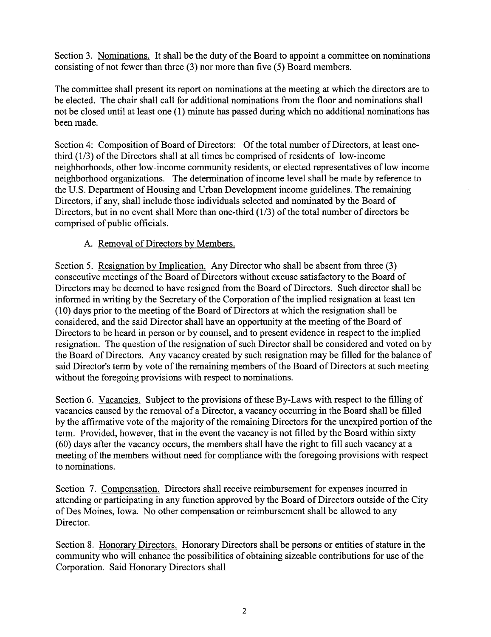Section 3. Nominations. It shall be the duty of the Board to appoint a committee on nominations consisting of not fewer than three (3) nor more than five (5) Board members.

The committee shall present its report on nominations at the meeting at which the directors are to be elected. The chair shall call for additional nominations from the floor and nominations shall not be closed until at least one (1) minute has passed durng which no additional nominations has been made.

Section 4: Composition of Board of Directors: Of the total number of Directors, at least onethird (1/3) of the Directors shall at all times be comprised of residents of low-income neighborhoods, other low-income community residents, or elected representatives of low income neighborhood organizations. The determination of income level shall be made by reference to the U.S. Deparment of Housing and Urban Development income guidelines. The remaining Directors, if any, shall include those individuals selected and nominated by the Board of Directors, but in no event shall More than one-third (1/3) of the total number of directors be comprised of public officials.

# A. Removal of Directors bv Members.

Section 5. Resignation by Implication. Any Director who shall be absent from three (3) consecutive meetings of the Board of Directors without excuse satisfactory to the Board of Directors may be deemed to have resigned from the Board of Directors. Such director shall be informed in wrting by the Secretary of the Corporation of the implied resignation at least ten (10) days prior to the meeting of the Board of Directors at which the resignation shall be considered, and the said Director shall have an opportunity at the meeting of the Board of Directors to be heard in person or by counsel, and to present evidence in respect to the implied resignation. The question of the resignation of such Director shall be considered and voted on by the Board of Directors. Any vacancy created by such resignation may be filled for the balance of said Director's term by vote of the remaining members of the Board of Directors at such meeting without the foregoing provisions with respect to nominations.

Section 6. Vacancies. Subject to the provisions of these By-Laws with respect to the filling of vacancies caused by the removal of a Director, a vacancy occurring in the Board shall be filled by the affirmative vote of the majority of the remaining Directors for the unexpired portion of the term. Provided, however, that in the event the vacancy is not filled by the Board within sixty (60) days after the vacancy occurs, the members shall have the right to fill such vacancy at a meeting of the members without need for compliance with the foregoing provisions with respect to nominations.

Section 7. Compensation. Directors shall receive reimbursement for expenses incurred in attending or participating in any function approved by the Board of Directors outside of the City of Des Moines, Iowa. No other compensation or reimbursement shall be allowed to any Director.

Section 8. Honorary Directors. Honorary Directors shall be persons or entities of stature in the community who will enhance the possibilities of obtaining sizeable contributions for use of the Corporation. Said Honorary Directors shall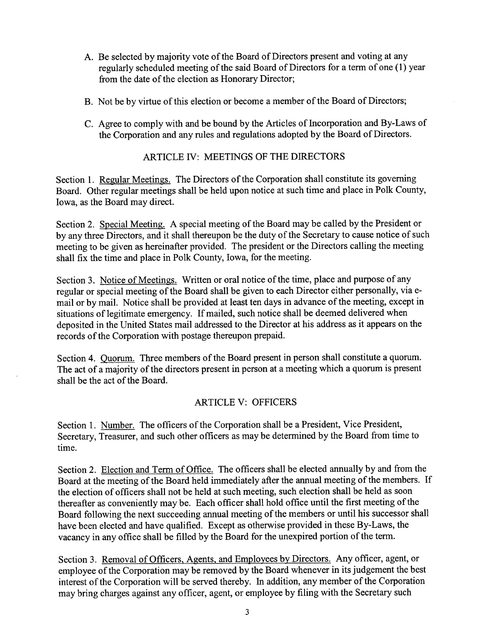- A. Be selected by majority vote of the Board of Directors present and voting at any regularly scheduled meeting of the said Board of Directors for a term of one (1) year from the date of the election as Honorary Director;
- B. Not be by virtue of this election or become a member of the Board of Directors;
- C. Agree to comply with and be bound by the Aricles of Incorporation and By-Laws of the Corporation and any rules and regulations adopted by the Board of Directors.

#### ARTICLE IV: MEETINGS OF THE DIRECTORS

Section 1. Regular Meetings. The Directors of the Corporation shall constitute its governing Board. Other regular meetings shall be held upon notice at such time and place in Polk County, Iowa, as the Board may direct.

Section 2. Special Meeting. A special meeting of the Board may be called by the President or by any three Directors, and it shall thereupon be the duty of the Secretary to cause notice of such meeting to be given as hereinafter provided. The president or the Directors calling the meeting shall fix the time and place in Polk County, Iowa, for the meeting.

Section 3. Notice of Meetings. Written or oral notice of the time, place and purose of any regular or special meeting of the Board shall be given to each Director either personally, via email or by mail. Notice shall be provided at least ten days in advance of the meeting, except in situations of legitimate emergency. If mailed, such notice shall be deemed delivered when deposited in the United States mail addressed to the Director at his address as it appears on the records of the Corporation with postage thereupon prepaid.

Section 4. Quorum. Three members of the Board present in person shall constitute a quorum. The act of a majority of the directors present in person at a meeting which a quorum is present shall be the act of the Board.

### ARTICLE V: OFFICERS

Section 1. Number. The officers of the Corporation shall be a President, Vice President, Secretary, Treasurer, and such other officers as may be determined by the Board from time to time.

Section 2. Election and Term of Office. The officers shall be elected annually by and from the Board at the meeting of the Board held immediately after the anual meeting of the members. If the election of officers shall not be held at such meeting, such election shall be held as soon thereafter as conveniently may be. Each officer shall hold office until the first meeting of the Board following the next succeeding anual meeting of the members or until his successor shall have been elected and have qualified. Except as otherwise provided in these By-Laws, the vacancy in any office shall be filled by the Board for the unexpired portion of the term.

Section 3. Removal of Officers, Agents, and Employees by Directors. Any officer, agent, or employee of the Corporation may be removed by the Board whenever in its judgement the best interest of the Corporation wil be served thereby. In addition, any member of the Corporation may bring charges against any officer, agent, or employee by filing with the Secretary such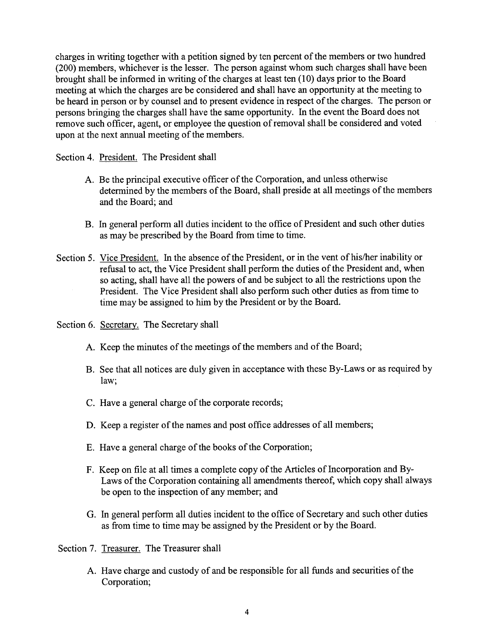charges in writing together with a petition signed by ten percent of the members or two hundred (200) members, whichever is the lesser. The person against whom such charges shall have been brought shall be informed in writing of the charges at least ten (10) days prior to the Board meeting at which the charges are be considered and shall have an opportunity at the meeting to be heard in person or by counsel and to present evidence in respect of the charges. The person or persons bringing the charges shall have the same opportunity. In the event the Board does not remove such officer, agent, or employee the question of removal shall be considered and voted upon at the next anual meeting of the members.

Section 4. President. The President shall

- A. Be the principal executive officer of the Corporation, and unless otherwise determined by the members of the Board, shall preside at all meetings of the members and the Board; and
- B. In general perform all duties incident to the office of President and such other duties as may be prescribed by the Board from time to time.
- Section 5. Vice President. In the absence of the President, or in the vent of his/her inability or refusal to act, the Vice President shall perform the duties of the President and, when so acting, shall have all the powers of and be subject to all the restrictions upon the President. The Vice President shall also perform such other duties as from time to time may be assigned to him by the President or by the Board.
- Section 6. Secretary. The Secretary shall
	- A. Keep the minutes of the meetings of the members and of the Board;
	- B. See that all notices are duly given in acceptance with these By-Laws or as required by law;
	- C. Have a general charge of the corporate records;
	- D. Keep a register of the names and post office addresses of all members;
	- E. Have a general charge of the books of the Corporation;
	- F. Keep on file at all times a complete copy of the Aricles of Incorporation and By-Laws of the Corporation containing all amendments thereof, which copy shall always be open to the inspection of any member; and
	- G. In general perform all duties incident to the office of Secretary and such other duties as from time to time may be assigned by the President or by the Board.
- Section 7. Treasurer. The Treasurer shall
	- A. Have charge and custody of and be responsible for all funds and securities of the Corporation;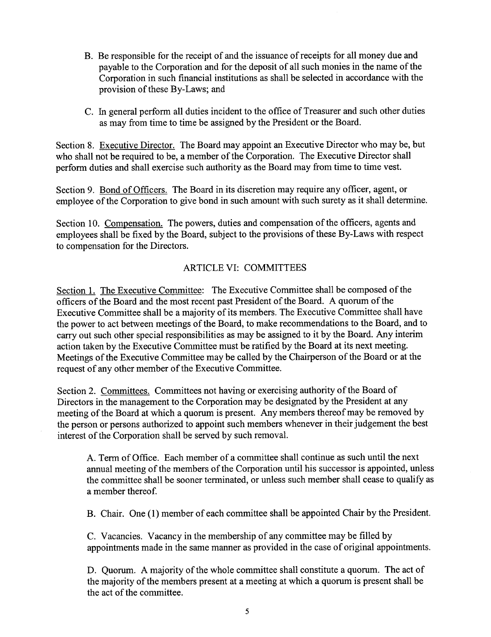- B. Be responsible for the receipt of and the issuance of receipts for all money due and payable to the Corporation and for the deposit of all such monies in the name of the Corporation in such financial institutions as shall be selected in accordance with the provision of these By-Laws; and
- C. In general perform all duties incident to the office of Treasurer and such other duties as may from time to time be assigned by the President or the Board.

Section 8. Executive Director. The Board may appoint an Executive Director who may be, but who shall not be required to be, a member of the Corporation. The Executive Director shall perform duties and shall exercise such authority as the Board may from time to time vest.

Section 9. Bond of Officers. The Board in its discretion may require any officer, agent, or employee of the Corporation to give bond in such amount with such surety as it shall determine.

Section 10. Compensation. The powers, duties and compensation of the officers, agents and employees shall be fixed by the Board, subject to the provisions of these By-Laws with respect to compensation for the Directors.

# ARTICLE VI: COMMITTEES

Section 1. The Executive Committee: The Executive Committee shall be composed of the officers of the Board and the most recent past President of the Board. A quorum of the Executive Committee shall be a majority of its members. The Executive Committee shall have the power to act between meetings of the Board, to make recommendations to the Board, and to carry out such other special responsibilities as may be assigned to it by the Board. Any interim action taken by the Executive Committee must be ratified by the Board at its next meeting. Meetings of the Executive Committee may be called by the Chairperson of the Board or at the request of any other member of the Executive Committee.

Section 2. Committees. Committees not having or exercising authority of the Board of Directors in the management to the Corporation may be designated by the President at any meeting of the Board at which a quorum is present. Any members thereof may be removed by the person or persons authorized to appoint such members whenever in their judgement the best interest of the Corporation shall be served by such removaL.

A. Term of Office. Each member of a committee shall continue as such until the next annual meeting of the members of the Corporation until his successor is appointed, unless the committee shall be sooner terminated, or unless such member shall cease to qualify as a member thereof.

B. Chair. One (1) member of each committee shall be appointed Chair by the President.

C. Vacancies. Vacancy in the membership of any committee may be filled by appointments made in the same maner as provided in the case of original appointments.

D. Quorum. A majority of the whole committee shall constitute a quorum. The act of the majority of the members present at a meeting at which a quorum is present shall be the act of the committee.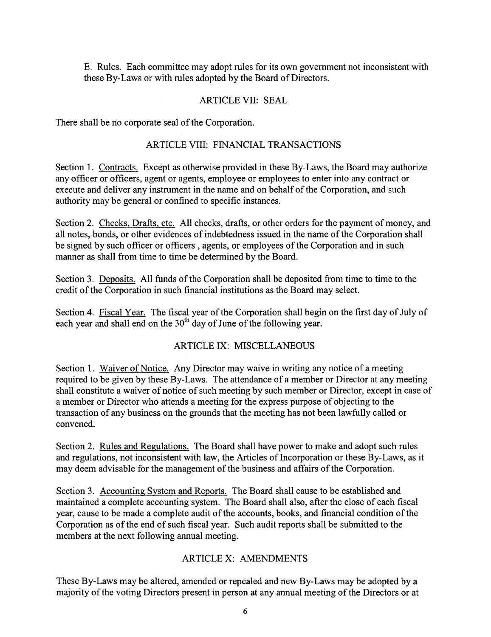E. Rules. Each committee may adopt rules for its own government not inconsistent with these By-Laws or with rules adopted by the Board of Directors.

### ARTICLE VII: SEAL

There shall be no corporate seal of the Corporation.

### ARTICLE VIII: FINANCIAL TRANSACTIONS

Section 1. Contracts. Except as otherwise provided in these By-Laws, the Board may authorize any officer or officers, agent or agents, employee or employees to enter into any contract or execute and deliver any instrument in the name and on behalf of the Corporation, and such authority may be general or confined to specific instances.

Section 2. Checks, Drafts, etc. All checks, drafts, or other orders for the payment of money, and all notes, bonds, or other evidences of indebtedness issued in the name of the Corporation shall be signed by such officer or officers, agents, or employees of the Corporation and in such manner as shall from time to time be determined by the Board.

Section 3. Deposits. All funds of the Corporation shall be deposited from time to time to the credit of the Corporation in such financial institutions as the Board may select.

Section 4. Fiscal Year. The fiscal year of the Corporation shall begin on the first day of July of each year and shall end on the  $30<sup>th</sup>$  day of June of the following year.

# ARTICLE IX: MISCELLANEOUS

Section 1. Waiver of Notice. Any Director may waive in writing any notice of a meeting required to be given by these By-Laws. The attendance of a member or Director at any meeting shall constitute a waiver of notice of such meeting by such member or Director, except in case of a member or Director who attends a meeting for the express purpose of objecting to the transaction of any business on the grounds that the meeting has not been lawfully called or convened.

Section 2. Rules and Regulations. The Board shall have power to make and adopt such rules and regulations, not inconsistent with law, the Aricles of Incorporation or these By-Laws, as it may deem advisable for the management of the business and affairs of the Corporation.

Section 3. Accounting System and Reports. The Board shall cause to be established and maintained a complete accounting system. The Board shall also, after the close of each fiscal year, cause to be made a complete audit of the accounts, books, and financial condition of the Corporation as of the end of such fiscal year. Such audit reports shall be submitted to the members at the next following annual meeting.

# ARTICLE X: AMENDMENTS

These By-Laws may be altered, amended or repealed and new By-Laws may be adopted by a majority of the voting Directors present in person at any annual meeting of the Directors or at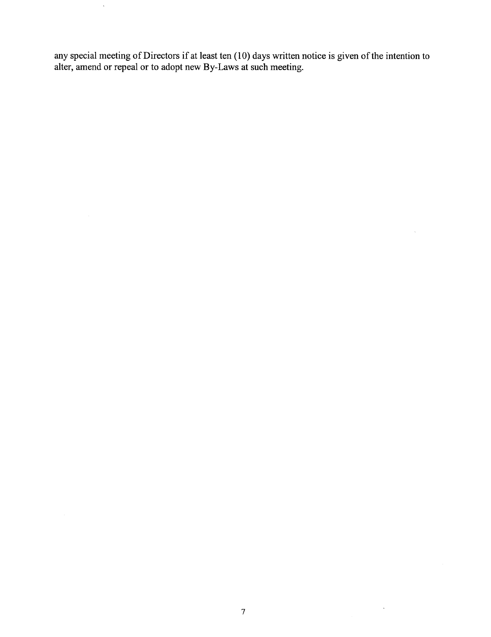any special meeting of Directors if at least ten (10) days wrtten notice is given of the intention to alter, amend or repeal or to adopt new By-Laws at such meeting.

 $\sim$   $\sim$ 

 $\mathcal{L}_{\rm{max}}$ 

 $\hat{\mathcal{A}}$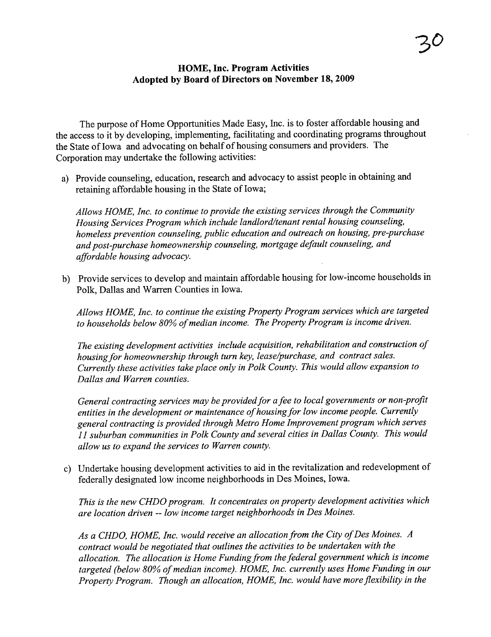### HOME, Inc. Program Activities Adopted by Board of Directors on November 18, 2009

The purpose of Home Opportunities Made Easy, Inc. is to foster affordable housing and the access to it by developing, implementing, facilitating and coordinating programs throughout the State of Iowa and advocating on behalf of housing consumers and providers. The Corporation may undertake the following activities:

a) Provide counseling, education, research and advocacy to assist people in obtaining and retaining affordable housing in the State of Iowa;

Allows HOME, Inc. to continue to provide the existing services through the Community Housing Services Program which include landlord/tenant rental housing counseling, homeless prevention counseling, public education and outreach on housing, pre-purchase and post-purchase homeownership counseling, mortgage default counseling, and affordable housing advocacy.

b) Provide services to develop and maintain affordable housing for low-income households in Polk, Dallas and Waren Counties in Iowa.

Allows HOME, Inc. to continue the existing Property Program services which are targeted to households below 80% of median income. The Property Program is income driven.

The existing development activities include acquisition, rehabilitation and construction of housing for homeownership through turn key, lease/purchase, and contract sales. Currently these activities take place only in Polk County. This would allow expansion to Dallas and Warren counties.

General contracting services may be provided for a fee to local governments or non-profit entities in the development or maintenance of housing for low income people. Currently general contracting is provided through Metro Home Improvement program which serves 11 suburban communities in Polk County and several cities in Dallas County. This would allow us to expand the services to Warren county.

c) Undertake housing development activities to aid in the revitalization and redevelopment of federally designated low income neighborhoods in Des Moines, Iowa.

This is the new CHDO program. It concentrates on property development activities which are location driven -- low income target neighborhoods in Des Moines.

As a CHDO, HOME, Inc. would receive an allocation from the City of Des Moines. A contract would be negotiated that outlines the activities to be undertaken with the allocation. The allocation is Home Funding from the federal government which is income targeted (below 80% of median income). HOME, Inc. currently uses Home Funding in our Property Program. Though an allocation, HOME, Inc. would have more flexibility in the